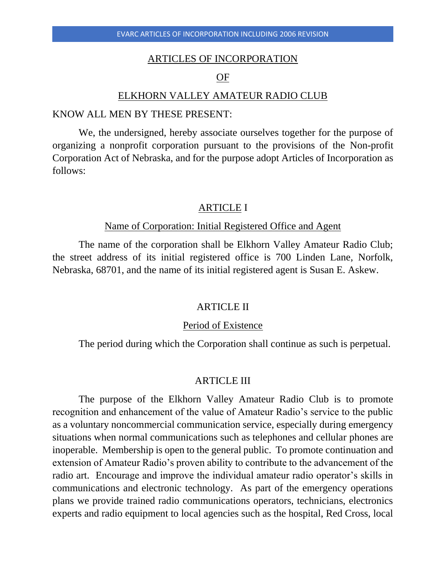## ARTICLES OF INCORPORATION

## OF

#### ELKHORN VALLEY AMATEUR RADIO CLUB

### KNOW ALL MEN BY THESE PRESENT:

We, the undersigned, hereby associate ourselves together for the purpose of organizing a nonprofit corporation pursuant to the provisions of the Non-profit Corporation Act of Nebraska, and for the purpose adopt Articles of Incorporation as follows:

## ARTICLE I

# Name of Corporation: Initial Registered Office and Agent

The name of the corporation shall be Elkhorn Valley Amateur Radio Club; the street address of its initial registered office is 700 Linden Lane, Norfolk, Nebraska, 68701, and the name of its initial registered agent is Susan E. Askew.

## ARTICLE II

### Period of Existence

The period during which the Corporation shall continue as such is perpetual.

## ARTICLE III

The purpose of the Elkhorn Valley Amateur Radio Club is to promote recognition and enhancement of the value of Amateur Radio's service to the public as a voluntary noncommercial communication service, especially during emergency situations when normal communications such as telephones and cellular phones are inoperable. Membership is open to the general public. To promote continuation and extension of Amateur Radio's proven ability to contribute to the advancement of the radio art. Encourage and improve the individual amateur radio operator's skills in communications and electronic technology. As part of the emergency operations plans we provide trained radio communications operators, technicians, electronics experts and radio equipment to local agencies such as the hospital, Red Cross, local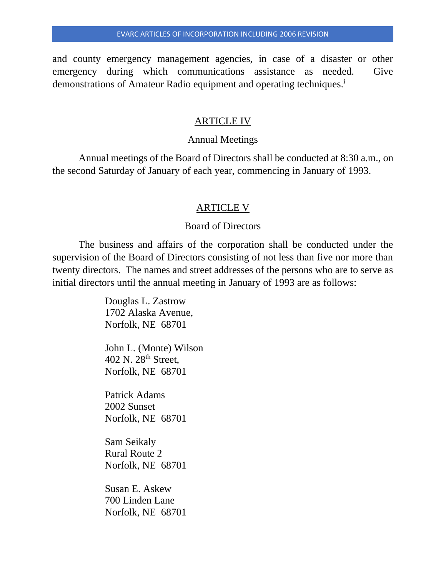and county emergency management agencies, in case of a disaster or other emergency during which communications assistance as needed. Give demonstrations of Amateur Radio equipment and operating techniques.<sup>i</sup>

# ARTICLE IV

## Annual Meetings

Annual meetings of the Board of Directors shall be conducted at 8:30 a.m., on the second Saturday of January of each year, commencing in January of 1993.

# ARTICLE V

# Board of Directors

The business and affairs of the corporation shall be conducted under the supervision of the Board of Directors consisting of not less than five nor more than twenty directors. The names and street addresses of the persons who are to serve as initial directors until the annual meeting in January of 1993 are as follows:

> Douglas L. Zastrow 1702 Alaska Avenue, Norfolk, NE 68701

John L. (Monte) Wilson 402 N. 28<sup>th</sup> Street, Norfolk, NE 68701

Patrick Adams 2002 Sunset Norfolk, NE 68701

Sam Seikaly Rural Route 2 Norfolk, NE 68701

Susan E. Askew 700 Linden Lane Norfolk, NE 68701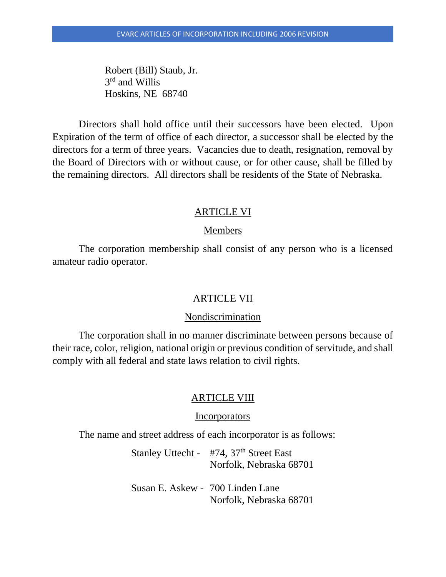Robert (Bill) Staub, Jr. 3<sup>rd</sup> and Willis Hoskins, NE 68740

Directors shall hold office until their successors have been elected. Upon Expiration of the term of office of each director, a successor shall be elected by the directors for a term of three years. Vacancies due to death, resignation, removal by the Board of Directors with or without cause, or for other cause, shall be filled by the remaining directors. All directors shall be residents of the State of Nebraska.

## ARTICLE VI

## Members

The corporation membership shall consist of any person who is a licensed amateur radio operator.

## ARTICLE VII

## Nondiscrimination

The corporation shall in no manner discriminate between persons because of their race, color, religion, national origin or previous condition of servitude, and shall comply with all federal and state laws relation to civil rights.

## ARTICLE VIII

### **Incorporators**

The name and street address of each incorporator is as follows:

Stanley Uttecht - #74, 37<sup>th</sup> Street East Norfolk, Nebraska 68701

Susan E. Askew - 700 Linden Lane Norfolk, Nebraska 68701